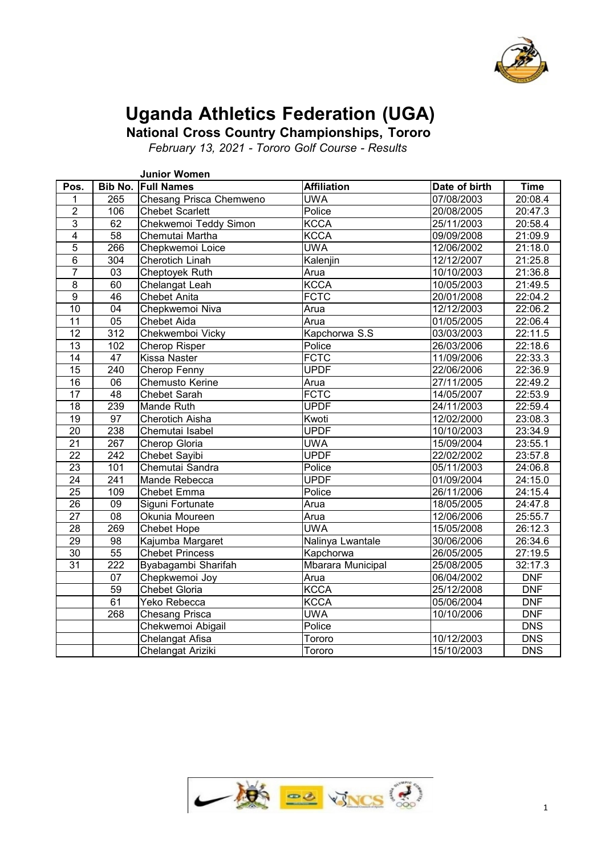

# **Uganda Athletics Federation (UGA)**

**National Cross Country Championships, Tororo**

*February 13, 2021 - Tororo Golf Course - Results*

|                 |                  | <b>Junior Women</b>     |                    |               |             |
|-----------------|------------------|-------------------------|--------------------|---------------|-------------|
| Pos.            |                  | Bib No. Full Names      | <b>Affiliation</b> | Date of birth | <b>Time</b> |
| 1               | 265              | Chesang Prisca Chemweno | <b>UWA</b>         | 07/08/2003    | 20:08.4     |
| $\overline{2}$  | 106              | <b>Chebet Scarlett</b>  | Police             | 20/08/2005    | 20:47.3     |
| $\overline{3}$  | 62               | Chekwemoi Teddy Simon   | <b>KCCA</b>        | 25/11/2003    | 20:58.4     |
| $\overline{4}$  | 58               | Chemutai Martha         | <b>KCCA</b>        | 09/09/2008    | 21:09.9     |
| $\overline{5}$  | 266              | Chepkwemoi Loice        | <b>UWA</b>         | 12/06/2002    | 21:18.0     |
| $\overline{6}$  | 304              | <b>Cherotich Linah</b>  | Kalenjin           | 12/12/2007    | 21:25.8     |
| $\overline{7}$  | $\overline{03}$  | Cheptoyek Ruth          | Arua               | 10/10/2003    | 21:36.8     |
| $\overline{8}$  | 60               | Chelangat Leah          | <b>KCCA</b>        | 10/05/2003    | 21:49.5     |
| $\overline{9}$  | 46               | <b>Chebet Anita</b>     | <b>FCTC</b>        | 20/01/2008    | 22:04.2     |
| 10              | 04               | Chepkwemoi Niva         | Arua               | 12/12/2003    | 22:06.2     |
| $\overline{11}$ | $\overline{05}$  | <b>Chebet Aida</b>      | Arua               | 01/05/2005    | 22:06.4     |
| 12              | 312              | Chekwemboi Vicky        | Kapchorwa S.S      | 03/03/2003    | 22:11.5     |
| 13              | 102              | Cherop Risper           | Police             | 26/03/2006    | 22:18.6     |
| 14              | 47               | <b>Kissa Naster</b>     | <b>FCTC</b>        | 11/09/2006    | 22:33.3     |
| $\overline{15}$ | 240              | Cherop Fenny            | <b>UPDF</b>        | 22/06/2006    | 22:36.9     |
| 16              | 06               | Chemusto Kerine         | Arua               | 27/11/2005    | 22:49.2     |
| $\overline{17}$ | $\overline{48}$  | <b>Chebet Sarah</b>     | <b>FCTC</b>        | 14/05/2007    | 22:53.9     |
| 18              | 239              | Mande Ruth              | <b>UPDF</b>        | 24/11/2003    | 22:59.4     |
| $\overline{19}$ | $\overline{97}$  | <b>Cherotich Aisha</b>  | Kwoti              | 12/02/2000    | 23:08.3     |
| 20              | 238              | Chemutai Isabel         | <b>UPDF</b>        | 10/10/2003    | 23:34.9     |
| $\overline{21}$ | 267              | Cherop Gloria           | <b>UWA</b>         | 15/09/2004    | 23:55.1     |
| 22              | 242              | Chebet Sayibi           | <b>UPDF</b>        | 22/02/2002    | 23:57.8     |
| $\overline{23}$ | 101              | Chemutai Sandra         | Police             | 05/11/2003    | 24:06.8     |
| $\overline{24}$ | $\overline{241}$ | Mande Rebecca           | <b>UPDF</b>        | 01/09/2004    | 24:15.0     |
| $\overline{25}$ | 109              | <b>Chebet Emma</b>      | Police             | 26/11/2006    | 24:15.4     |
| 26              | 09               | Siguni Fortunate        | Arua               | 18/05/2005    | 24:47.8     |
| $\overline{27}$ | $\overline{08}$  | Okunia Moureen          | Arua               | 12/06/2006    | 25:55.7     |
| 28              | 269              | <b>Chebet Hope</b>      | <b>UWA</b>         | 15/05/2008    | 26:12.3     |
| $\overline{29}$ | $\overline{98}$  | Kajumba Margaret        | Nalinya Lwantale   | 30/06/2006    | 26:34.6     |
| 30              | 55               | <b>Chebet Princess</b>  | Kapchorwa          | 26/05/2005    | 27:19.5     |
| 31              | $\overline{222}$ | Byabagambi Sharifah     | Mbarara Municipal  | 25/08/2005    | 32:17.3     |
|                 | 07               | Chepkwemoi Joy          | Arua               | 06/04/2002    | <b>DNF</b>  |
|                 | 59               | Chebet Gloria           | <b>KCCA</b>        | 25/12/2008    | <b>DNF</b>  |
|                 | 61               | Yeko Rebecca            | <b>KCCA</b>        | 05/06/2004    | <b>DNF</b>  |
|                 | 268              | <b>Chesang Prisca</b>   | <b>UWA</b>         | 10/10/2006    | <b>DNF</b>  |
|                 |                  | Chekwemoi Abigail       | Police             |               | <b>DNS</b>  |
|                 |                  | Chelangat Afisa         | Tororo             | 10/12/2003    | <b>DNS</b>  |
|                 |                  | Chelangat Ariziki       | Tororo             | 15/10/2003    | <b>DNS</b>  |

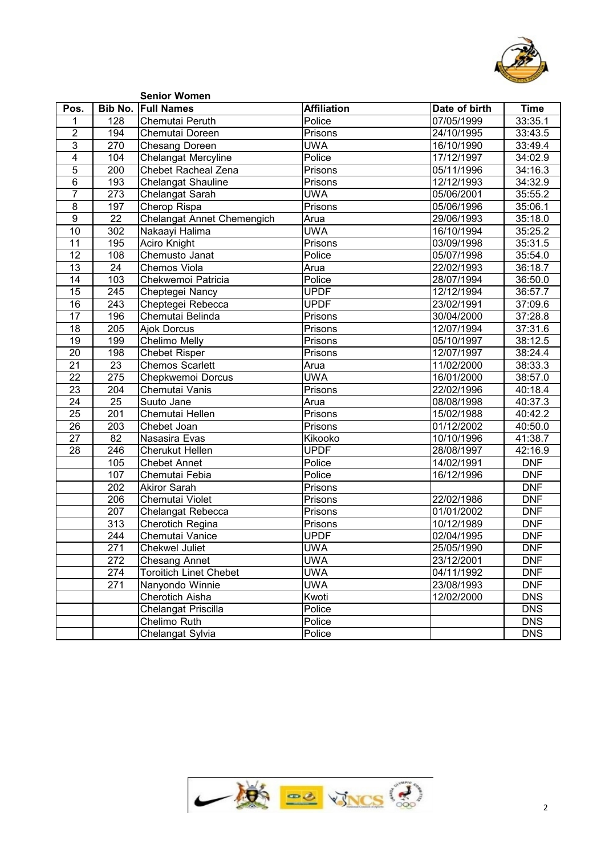

|                         |                  | <b>Senior Women</b>           |                    |               |             |
|-------------------------|------------------|-------------------------------|--------------------|---------------|-------------|
| Pos.                    | Bib No.          | <b>Full Names</b>             | <b>Affiliation</b> | Date of birth | <b>Time</b> |
| 1                       | 128              | Chemutai Peruth               | Police             | 07/05/1999    | 33:35.1     |
| $\overline{2}$          | 194              | Chemutai Doreen               | Prisons            | 24/10/1995    | 33:43.5     |
| $\overline{3}$          | 270              | <b>Chesang Doreen</b>         | <b>UWA</b>         | 16/10/1990    | 33:49.4     |
| $\overline{\mathbf{4}}$ | 104              | <b>Chelangat Mercyline</b>    | Police             | 17/12/1997    | 34:02.9     |
| $\overline{5}$          | $\overline{200}$ | Chebet Racheal Zena           | Prisons            | 05/11/1996    | 34:16.3     |
| $\,6$                   | 193              | Chelangat Shauline            | Prisons            | 12/12/1993    | 34:32.9     |
| $\overline{7}$          | 273              | Chelangat Sarah               | <b>UWA</b>         | 05/06/2001    | 35:55.2     |
| 8                       | 197              | Cherop Rispa                  | Prisons            | 05/06/1996    | 35:06.1     |
| $\overline{9}$          | $\overline{22}$  | Chelangat Annet Chemengich    | Arua               | 29/06/1993    | 35:18.0     |
| 10                      | 302              | Nakaayi Halima                | <b>UWA</b>         | 16/10/1994    | 35:25.2     |
| 11                      | 195              | <b>Aciro Knight</b>           | Prisons            | 03/09/1998    | 35:31.5     |
| 12                      | 108              | Chemusto Janat                | Police             | 05/07/1998    | 35:54.0     |
| 13                      | $\overline{24}$  | <b>Chemos Viola</b>           | Arua               | 22/02/1993    | 36:18.7     |
| 14                      | 103              | Chekwemoi Patricia            | Police             | 28/07/1994    | 36:50.0     |
| 15                      | 245              | Cheptegei Nancy               | <b>UPDF</b>        | 12/12/1994    | 36:57.7     |
| 16                      | 243              | Cheptegei Rebecca             | <b>UPDF</b>        | 23/02/1991    | 37:09.6     |
| 17                      | 196              | Chemutai Belinda              | Prisons            | 30/04/2000    | 37:28.8     |
| 18                      | $\overline{205}$ | Ajok Dorcus                   | Prisons            | 12/07/1994    | 37:31.6     |
| 19                      | 199              | Chelimo Melly                 | Prisons            | 05/10/1997    | 38:12.5     |
| 20                      | 198              | <b>Chebet Risper</b>          | Prisons            | 12/07/1997    | 38:24.4     |
| $\overline{21}$         | 23               | <b>Chemos Scarlett</b>        | Arua               | 11/02/2000    | 38:33.3     |
| $\overline{22}$         | 275              | Chepkwemoi Dorcus             | <b>UWA</b>         | 16/01/2000    | 38:57.0     |
| $\overline{23}$         | 204              | Chemutai Vanis                | Prisons            | 22/02/1996    | 40:18.4     |
| 24                      | $\overline{25}$  | Suuto Jane                    | Arua               | 08/08/1998    | 40:37.3     |
| 25                      | $\overline{201}$ | Chemutai Hellen               | Prisons            | 15/02/1988    | 40:42.2     |
| 26                      | $\overline{203}$ | Chebet Joan                   | Prisons            | 01/12/2002    | 40:50.0     |
| $\overline{27}$         | $\overline{82}$  | Nasasira Evas                 | Kikooko            | 10/10/1996    | 41:38.7     |
| 28                      | 246              | <b>Cherukut Hellen</b>        | <b>UPDF</b>        | 28/08/1997    | 42:16.9     |
|                         | 105              | <b>Chebet Annet</b>           | Police             | 14/02/1991    | <b>DNF</b>  |
|                         | 107              | Chemutai Febia                | Police             | 16/12/1996    | <b>DNF</b>  |
|                         | $\overline{202}$ | <b>Akiror Sarah</b>           | Prisons            |               | <b>DNF</b>  |
|                         | 206              | Chemutai Violet               | Prisons            | 22/02/1986    | <b>DNF</b>  |
|                         | 207              | Chelangat Rebecca             | Prisons            | 01/01/2002    | <b>DNF</b>  |
|                         | $\overline{313}$ | Cherotich Regina              | Prisons            | 10/12/1989    | <b>DNF</b>  |
|                         | 244              | Chemutai Vanice               | <b>UPDF</b>        | 02/04/1995    | <b>DNF</b>  |
|                         | $\overline{271}$ | <b>Chekwel Juliet</b>         | <b>UWA</b>         | 25/05/1990    | <b>DNF</b>  |
|                         | 272              | <b>Chesang Annet</b>          | <b>UWA</b>         | 23/12/2001    | <b>DNF</b>  |
|                         | 274              | <b>Toroitich Linet Chebet</b> | <b>UWA</b>         | 04/11/1992    | <b>DNF</b>  |
|                         | 271              | Nanyondo Winnie               | <b>UWA</b>         | 23/08/1993    | <b>DNF</b>  |
|                         |                  | Cherotich Aisha               | Kwoti              | 12/02/2000    | <b>DNS</b>  |
|                         |                  | Chelangat Priscilla           | Police             |               | <b>DNS</b>  |
|                         |                  | Chelimo Ruth                  | Police             |               | <b>DNS</b>  |
|                         |                  | Chelangat Sylvia              | Police             |               | <b>DNS</b>  |
|                         |                  |                               |                    |               |             |

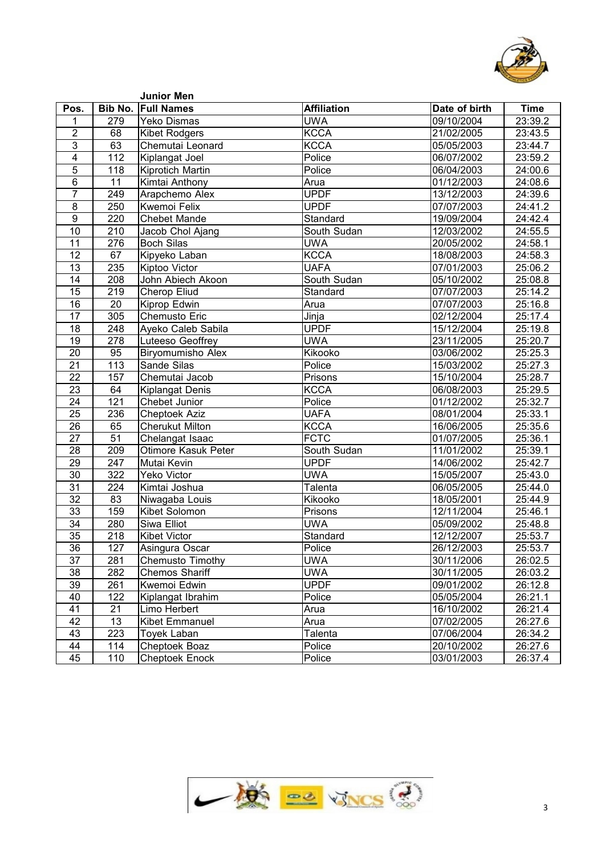

|                         |                  | <b>Junior Men</b>         |                    |               |                      |
|-------------------------|------------------|---------------------------|--------------------|---------------|----------------------|
| Pos.                    |                  | <b>Bib No. Full Names</b> | <b>Affiliation</b> | Date of birth | <b>Time</b>          |
| 1                       | 279              | <b>Yeko Dismas</b>        | <b>UWA</b>         | 09/10/2004    | 23:39.2              |
| $\overline{\mathbf{c}}$ | 68               | <b>Kibet Rodgers</b>      | <b>KCCA</b>        | 21/02/2005    | 23:43.5              |
| 3                       | 63               | Chemutai Leonard          | <b>KCCA</b>        | 05/05/2003    | 23:44.7              |
| 4                       | 112              | Kiplangat Joel            | Police             | 06/07/2002    | 23:59.2              |
| 5                       | 118              | Kiprotich Martin          | Police             | 06/04/2003    | 24:00.6              |
| 6                       | 11               | Kimtai Anthony            | Arua               | 01/12/2003    | 24:08.6              |
| $\overline{7}$          | 249              | Arapchemo Alex            | <b>UPDF</b>        | 13/12/2003    | 24:39.6              |
| 8                       | 250              | <b>Kwemoi Felix</b>       | <b>UPDF</b>        | 07/07/2003    | 24:41.2              |
| 9                       | 220              | <b>Chebet Mande</b>       | Standard           | 19/09/2004    | 24:42.4              |
| 10                      | 210              | Jacob Chol Ajang          | South Sudan        | 12/03/2002    | 24:55.5              |
| 11                      | 276              | <b>Boch Silas</b>         | <b>UWA</b>         | 20/05/2002    | 24:58.1              |
| 12                      | 67               | Kipyeko Laban             | <b>KCCA</b>        | 18/08/2003    | $\overline{24:}58.3$ |
| 13                      | 235              | Kiptoo Victor             | <b>UAFA</b>        | 07/01/2003    | 25:06.2              |
| 14                      | 208              | John Abiech Akoon         | South Sudan        | 05/10/2002    | 25:08.8              |
| 15                      | 219              | <b>Cherop Eliud</b>       | Standard           | 07/07/2003    | 25:14.2              |
| 16                      | $\overline{20}$  | Kiprop Edwin              | Arua               | 07/07/2003    | 25:16.8              |
| 17                      | 305              | <b>Chemusto Eric</b>      | Jinja              | 02/12/2004    | 25:17.4              |
| 18                      | 248              | Ayeko Caleb Sabila        | <b>UPDF</b>        | 15/12/2004    | 25:19.8              |
| 19                      | $\overline{278}$ | Luteeso Geoffrey          | <b>UWA</b>         | 23/11/2005    | 25:20.7              |
| 20                      | 95               | <b>Biryomumisho Alex</b>  | Kikooko            | 03/06/2002    | 25:25.3              |
| 21                      | 113              | Sande Silas               | Police             | 15/03/2002    | 25:27.3              |
| 22                      | 157              | Chemutai Jacob            | Prisons            | 15/10/2004    | 25:28.7              |
| 23                      | 64               | <b>Kiplangat Denis</b>    | <b>KCCA</b>        | 06/08/2003    | 25:29.5              |
| 24                      | 121              | Chebet Junior             | Police             | 01/12/2002    | 25:32.7              |
| 25                      | 236              | Cheptoek Aziz             | <b>UAFA</b>        | 08/01/2004    | 25:33.1              |
| 26                      | 65               | <b>Cherukut Milton</b>    | <b>KCCA</b>        | 16/06/2005    | 25:35.6              |
| 27                      | $\overline{51}$  | Chelangat Isaac           | <b>FCTC</b>        | 01/07/2005    | 25:36.1              |
| 28                      | 209              | Otimore Kasuk Peter       | South Sudan        | 11/01/2002    | 25:39.1              |
| 29                      | 247              | Mutai Kevin               | <b>UPDF</b>        | 14/06/2002    | 25:42.7              |
| 30                      | 322              | <b>Yeko Victor</b>        | <b>UWA</b>         | 15/05/2007    | 25:43.0              |
| 31                      | 224              | Kimtai Joshua             | Talenta            | 06/05/2005    | 25:44.0              |
| 32                      | 83               | Niwagaba Louis            | Kikooko            | 18/05/2001    | 25:44.9              |
| 33                      | 159              | Kibet Solomon             | Prisons            | 12/11/2004    | 25:46.1              |
| 34                      | 280              | Siwa Elliot               | <b>UWA</b>         | 05/09/2002    | 25:48.8              |
| $\overline{35}$         | 218              | <b>Kibet Victor</b>       | Standard           | 12/12/2007    | 25:53.7              |
| $\overline{36}$         | 127              | Asingura Oscar            | Police             | 26/12/2003    | 25:53.7              |
| 37                      | 281              | Chemusto Timothy          | <b>UWA</b>         | 30/11/2006    | 26:02.5              |
| 38                      | 282              | <b>Chemos Shariff</b>     | <b>UWA</b>         | 30/11/2005    | 26:03.2              |
| 39                      | 261              | Kwemoi Edwin              | <b>UPDF</b>        | 09/01/2002    | 26:12.8              |
| 40                      | 122              | Kiplangat Ibrahim         | Police             | 05/05/2004    | 26:21.1              |
| 41                      | 21               | Limo Herbert              | Arua               | 16/10/2002    | 26:21.4              |
| 42                      | 13               | <b>Kibet Emmanuel</b>     | Arua               | 07/02/2005    | 26:27.6              |
| 43                      | 223              | <b>Toyek Laban</b>        | Talenta            | 07/06/2004    | 26:34.2              |
| 44                      | 114              | Cheptoek Boaz             | Police             | 20/10/2002    | 26:27.6              |
| 45                      | 110              | <b>Cheptoek Enock</b>     | Police             | 03/01/2003    | 26:37.4              |

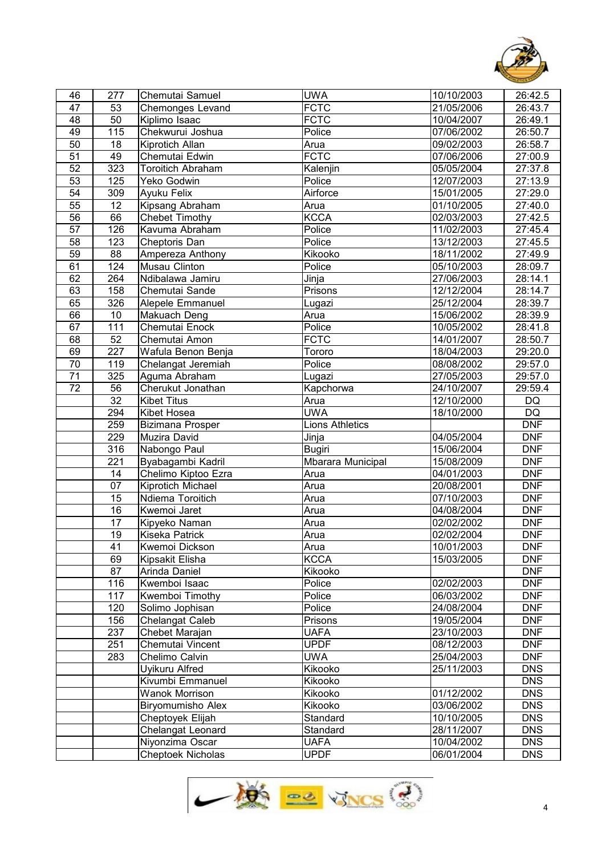

| 46              | 277              | Chemutai Samuel          | <b>UWA</b>        | 10/10/2003 | 26:42.5                |  |
|-----------------|------------------|--------------------------|-------------------|------------|------------------------|--|
| 47              | 53               | <b>Chemonges Levand</b>  | <b>FCTC</b>       | 21/05/2006 | 26:43.7                |  |
| 48              | 50               | Kiplimo Isaac            | <b>FCTC</b>       | 10/04/2007 | 26:49.1                |  |
| 49              | 115              | Chekwurui Joshua         | Police            | 07/06/2002 | 26:50.7                |  |
| 50              | 18               | <b>Kiprotich Allan</b>   | Arua              | 09/02/2003 | 26:58.7                |  |
| 51              | 49               | Chemutai Edwin           | <b>FCTC</b>       | 07/06/2006 | 27:00.9                |  |
| 52              | 323              | <b>Toroitich Abraham</b> | Kalenjin          | 05/05/2004 | 27:37.8                |  |
| 53              | 125              | Yeko Godwin              | Police            | 12/07/2003 | 27:13.9                |  |
| $\overline{54}$ | 309              | Ayuku Felix              | Airforce          | 15/01/2005 | 27:29.0                |  |
| 55              | $\overline{12}$  | Kipsang Abraham          | Arua              | 01/10/2005 | 27:40.0                |  |
| $\overline{56}$ | 66               | Chebet Timothy           | <b>KCCA</b>       | 02/03/2003 | 27:42.5                |  |
| 57              | 126              | Kavuma Abraham           | Police            | 11/02/2003 | 27:45.4                |  |
| 58              | 123              | Cheptoris Dan            | Police            | 13/12/2003 | 27:45.5                |  |
| 59              | $\overline{88}$  | Ampereza Anthony         | Kikooko           | 18/11/2002 | 27:49.9                |  |
| 61              | 124              | Musau Clinton            | Police            | 05/10/2003 | 28:09.7                |  |
| 62              | 264              | Ndibalawa Jamiru         | Jinja             | 27/06/2003 | 28:14.1                |  |
| 63              | 158              | Chemutai Sande           | Prisons           | 12/12/2004 | 28:14.7                |  |
| 65              | 326              | Alepele Emmanuel         | Lugazi            | 25/12/2004 | 28:39.7                |  |
| 66              | 10               | Makuach Deng             | Arua              | 15/06/2002 | 28:39.9                |  |
| 67              | 111              | Chemutai Enock           | Police            | 10/05/2002 | 28:41.8                |  |
| 68              | 52               | Chemutai Amon            | <b>FCTC</b>       | 14/01/2007 | 28:50.7                |  |
| 69              | 227              | Wafula Benon Benja       | Tororo            | 18/04/2003 | 29:20.0                |  |
| $\overline{70}$ | 119              | Chelangat Jeremiah       | Police            | 08/08/2002 | 29:57.0                |  |
| 71              | 325              | Aguma Abraham            | Lugazi            | 27/05/2003 | 29:57.0                |  |
| 72              | $\overline{56}$  | Cherukut Jonathan        | Kapchorwa         | 24/10/2007 | 29:59.4                |  |
|                 | 32               | <b>Kibet Titus</b>       | Arua              | 12/10/2000 | $\mathsf{D}\mathsf{Q}$ |  |
|                 | 294              | Kibet Hosea              | <b>UWA</b>        | 18/10/2000 | $\overline{DQ}$        |  |
|                 | 259              | Bizimana Prosper         | Lions Athletics   |            | <b>DNF</b>             |  |
|                 | 229              | Muzira David             | Jinja             | 04/05/2004 | <b>DNF</b>             |  |
|                 | 316              | Nabongo Paul             | <b>Bugiri</b>     | 15/06/2004 | <b>DNF</b>             |  |
|                 | $\overline{221}$ | Byabagambi Kadril        | Mbarara Municipal | 15/08/2009 | <b>DNF</b>             |  |
|                 | 14               | Chelimo Kiptoo Ezra      | Arua              | 04/01/2003 | <b>DNF</b>             |  |
|                 | 07               | Kiprotich Michael        | Arua              | 20/08/2001 | <b>DNF</b>             |  |
|                 | 15               | Ndiema Toroitich         | Arua              | 07/10/2003 | <b>DNF</b>             |  |
|                 | 16               | Kwemoi Jaret             | Arua              | 04/08/2004 | <b>DNF</b>             |  |
|                 | 17               | Kipyeko Naman            | Arua              | 02/02/2002 | <b>DNF</b>             |  |
|                 | 19               | Kiseka Patrick           | Arua              | 02/02/2004 | <b>DNF</b>             |  |
|                 | 41               | Kwemoi Dickson           | Arua              | 10/01/2003 | <b>DNF</b>             |  |
|                 | 69               | Kipsakit Elisha          | <b>KCCA</b>       | 15/03/2005 | <b>DNF</b>             |  |
|                 | 87               | Arinda Daniel            | Kikooko           |            | <b>DNF</b>             |  |
|                 | 116              | Kwemboi Isaac            | Police            | 02/02/2003 | <b>DNF</b>             |  |
|                 | 117              | Kwemboi Timothy          | Police            | 06/03/2002 | <b>DNF</b>             |  |
|                 | 120              | Solimo Jophisan          | Police            | 24/08/2004 | <b>DNF</b>             |  |
|                 | 156              | Chelangat Caleb          | Prisons           | 19/05/2004 | <b>DNF</b>             |  |
|                 | 237              | Chebet Marajan           | <b>UAFA</b>       | 23/10/2003 | <b>DNF</b>             |  |
|                 | 251              | Chemutai Vincent         | <b>UPDF</b>       | 08/12/2003 | <b>DNF</b>             |  |
|                 | 283              | Chelimo Calvin           | <b>UWA</b>        | 25/04/2003 | <b>DNF</b>             |  |
|                 |                  | Uyikuru Alfred           | Kikooko           | 25/11/2003 | <b>DNS</b>             |  |
|                 |                  | Kivumbi Emmanuel         | Kikooko           |            | <b>DNS</b>             |  |
|                 |                  | <b>Wanok Morrison</b>    | Kikooko           | 01/12/2002 | <b>DNS</b>             |  |
|                 |                  | <b>Biryomumisho Alex</b> | Kikooko           | 03/06/2002 | <b>DNS</b>             |  |
|                 |                  | Cheptoyek Elijah         | Standard          | 10/10/2005 | <b>DNS</b>             |  |
|                 |                  | Chelangat Leonard        | Standard          | 28/11/2007 | <b>DNS</b>             |  |
|                 |                  | Niyonzima Oscar          | <b>UAFA</b>       | 10/04/2002 | <b>DNS</b>             |  |
|                 |                  | Cheptoek Nicholas        | <b>UPDF</b>       | 06/01/2004 | <b>DNS</b>             |  |
|                 |                  |                          |                   |            |                        |  |

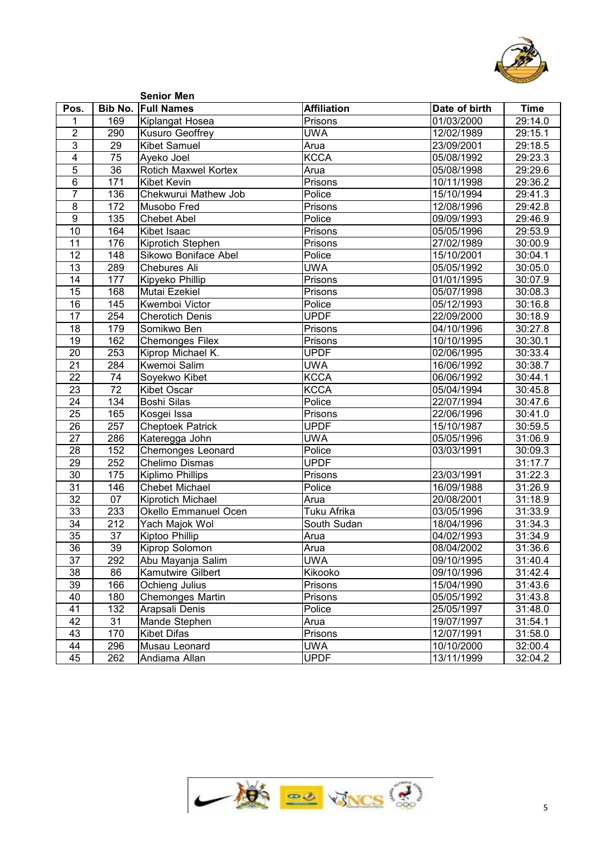

| <b>Bib No. Full Names</b><br><b>Affiliation</b><br>Pos.<br>Date of birth<br><b>Time</b><br>169<br>Prisons<br>01/03/2000<br>29:14.0<br>Kiplangat Hosea<br>1<br>$\overline{2}$<br><b>UWA</b><br>290<br>Kusuro Geoffrey<br>12/02/1989<br>29:15.1<br>3<br>$\overline{29}$<br><b>Kibet Samuel</b><br>23/09/2001<br>Arua<br>4<br>$\overline{75}$<br><b>KCCA</b><br>05/08/1992<br>Ayeko Joel<br>5<br>$\overline{36}$<br><b>Rotich Maxwel Kortex</b><br>05/08/1998<br>Arua<br>$\,6$<br>171<br><b>Kibet Kevin</b><br>Prisons<br>10/11/1998<br>$\overline{7}$<br>136<br>Chekwurui Mathew Job<br>Police<br>15/10/1994<br>8<br>172<br>Prisons<br>12/08/1996<br>Musobo Fred<br>9<br>135<br>Police<br>09/09/1993<br><b>Chebet Abel</b><br>$\overline{10}$<br>164<br>05/05/1996<br>Kibet Isaac<br>Prisons<br>176<br>11<br>Kiprotich Stephen<br>27/02/1989<br>Prisons<br>$\overline{12}$<br>148<br>Sikowo Boniface Abel<br>Police<br>15/10/2001<br>30:04.1<br>289<br><b>UWA</b><br>13<br><b>Chebures Ali</b><br>05/05/1992<br>$\overline{14}$<br>177<br>Prisons<br>01/01/1995<br>Kipyeko Phillip<br>168<br>05/07/1998<br>15<br>Mutai Ezekiel<br>Prisons<br>$\frac{145}{145}$<br>16<br>Kwemboi Victor<br>05/12/1993<br>Police<br><b>UPDF</b><br>$\overline{17}$<br>254<br>22/09/2000<br><b>Cherotich Denis</b><br>179<br>18<br>Somikwo Ben<br>Prisons<br>04/10/1996<br>162<br>19<br><b>Chemonges Filex</b><br>10/10/1995<br>30:30.1<br>Prisons<br>253<br>Kiprop Michael K.<br><b>UPDF</b><br>20<br>02/06/1995<br>30:33.4<br>$\overline{21}$<br>284<br><b>UWA</b><br>Kwemoi Salim<br>16/06/1992<br>30:38.7<br><b>KCCA</b><br>$\overline{22}$<br>$\overline{74}$<br>Soyekwo Kibet<br>06/06/1992<br>30:44.1<br>$\overline{72}$<br><b>KCCA</b><br>23<br><b>Kibet Oscar</b><br>05/04/1994<br>$\overline{24}$<br>134<br>22/07/1994<br><b>Boshi Silas</b><br>Police<br>165<br>25<br>22/06/1996<br>Kosgei Issa<br>Prisons<br>257<br><b>UPDF</b><br>26<br><b>Cheptoek Patrick</b><br>15/10/1987<br><b>UWA</b><br>27<br>286<br>Kateregga John<br>05/05/1996<br>152<br>Police<br>28<br><b>Chemonges Leonard</b><br>03/03/1991<br>252<br>Chelimo Dismas<br><b>UPDF</b><br>29<br>175<br>30<br>Prisons<br>23/03/1991<br>Kiplimo Phillips<br>146<br>31<br><b>Chebet Michael</b><br>16/09/1988<br>Police<br>$\overline{32}$<br>$\overline{07}$<br>20/08/2001<br>Kiprotich Michael<br>Arua<br>33<br>233<br><b>Tuku Afrika</b><br><b>Okello Emmanuel Ocen</b><br>03/05/1996<br>$\overline{34}$<br>$\overline{212}$<br>Yach Majok Wol<br>18/04/1996<br>South Sudan<br>35<br>$\overline{37}$<br>04/02/1993<br>31:34.9<br>Kiptoo Phillip<br>Arua<br>36<br>$\overline{39}$<br>Kiprop Solomon<br>Arua<br>08/04/2002<br><b>UWA</b><br>37<br>292<br>09/10/1995<br>Abu Mayanja Salim<br>38<br>86<br>Kamutwire Gilbert<br>Kikooko<br>09/10/1996<br>166<br>Ochieng Julius<br>39<br>15/04/1990<br>Prisons<br><b>Chemonges Martin</b><br>40<br>180<br>05/05/1992<br>Prisons<br>41<br>132<br>Arapsali Denis<br>25/05/1997<br>Police<br>42<br>31<br>Mande Stephen<br>19/07/1997<br>31:54.1<br>Arua<br>170<br>43<br><b>Kibet Difas</b><br>12/07/1991<br>Prisons<br>44<br>296<br>10/10/2000<br><b>UWA</b><br>Musau Leonard<br><b>UPDF</b><br>262<br>45<br>Andiama Allan |  | <b>Senior Men</b> |            |         |
|----------------------------------------------------------------------------------------------------------------------------------------------------------------------------------------------------------------------------------------------------------------------------------------------------------------------------------------------------------------------------------------------------------------------------------------------------------------------------------------------------------------------------------------------------------------------------------------------------------------------------------------------------------------------------------------------------------------------------------------------------------------------------------------------------------------------------------------------------------------------------------------------------------------------------------------------------------------------------------------------------------------------------------------------------------------------------------------------------------------------------------------------------------------------------------------------------------------------------------------------------------------------------------------------------------------------------------------------------------------------------------------------------------------------------------------------------------------------------------------------------------------------------------------------------------------------------------------------------------------------------------------------------------------------------------------------------------------------------------------------------------------------------------------------------------------------------------------------------------------------------------------------------------------------------------------------------------------------------------------------------------------------------------------------------------------------------------------------------------------------------------------------------------------------------------------------------------------------------------------------------------------------------------------------------------------------------------------------------------------------------------------------------------------------------------------------------------------------------------------------------------------------------------------------------------------------------------------------------------------------------------------------------------------------------------------------------------------------------------------------------------------------------------------------------------------------------------------------------------------------------------------------------------------------------------------------------------------------------------------------------------------------------------------------------------------------------------------------------------------------------------------------------------------------------------------------------------------------|--|-------------------|------------|---------|
|                                                                                                                                                                                                                                                                                                                                                                                                                                                                                                                                                                                                                                                                                                                                                                                                                                                                                                                                                                                                                                                                                                                                                                                                                                                                                                                                                                                                                                                                                                                                                                                                                                                                                                                                                                                                                                                                                                                                                                                                                                                                                                                                                                                                                                                                                                                                                                                                                                                                                                                                                                                                                                                                                                                                                                                                                                                                                                                                                                                                                                                                                                                                                                                                                      |  |                   |            |         |
|                                                                                                                                                                                                                                                                                                                                                                                                                                                                                                                                                                                                                                                                                                                                                                                                                                                                                                                                                                                                                                                                                                                                                                                                                                                                                                                                                                                                                                                                                                                                                                                                                                                                                                                                                                                                                                                                                                                                                                                                                                                                                                                                                                                                                                                                                                                                                                                                                                                                                                                                                                                                                                                                                                                                                                                                                                                                                                                                                                                                                                                                                                                                                                                                                      |  |                   |            |         |
|                                                                                                                                                                                                                                                                                                                                                                                                                                                                                                                                                                                                                                                                                                                                                                                                                                                                                                                                                                                                                                                                                                                                                                                                                                                                                                                                                                                                                                                                                                                                                                                                                                                                                                                                                                                                                                                                                                                                                                                                                                                                                                                                                                                                                                                                                                                                                                                                                                                                                                                                                                                                                                                                                                                                                                                                                                                                                                                                                                                                                                                                                                                                                                                                                      |  |                   |            |         |
|                                                                                                                                                                                                                                                                                                                                                                                                                                                                                                                                                                                                                                                                                                                                                                                                                                                                                                                                                                                                                                                                                                                                                                                                                                                                                                                                                                                                                                                                                                                                                                                                                                                                                                                                                                                                                                                                                                                                                                                                                                                                                                                                                                                                                                                                                                                                                                                                                                                                                                                                                                                                                                                                                                                                                                                                                                                                                                                                                                                                                                                                                                                                                                                                                      |  |                   |            | 29:18.5 |
|                                                                                                                                                                                                                                                                                                                                                                                                                                                                                                                                                                                                                                                                                                                                                                                                                                                                                                                                                                                                                                                                                                                                                                                                                                                                                                                                                                                                                                                                                                                                                                                                                                                                                                                                                                                                                                                                                                                                                                                                                                                                                                                                                                                                                                                                                                                                                                                                                                                                                                                                                                                                                                                                                                                                                                                                                                                                                                                                                                                                                                                                                                                                                                                                                      |  |                   |            | 29:23.3 |
|                                                                                                                                                                                                                                                                                                                                                                                                                                                                                                                                                                                                                                                                                                                                                                                                                                                                                                                                                                                                                                                                                                                                                                                                                                                                                                                                                                                                                                                                                                                                                                                                                                                                                                                                                                                                                                                                                                                                                                                                                                                                                                                                                                                                                                                                                                                                                                                                                                                                                                                                                                                                                                                                                                                                                                                                                                                                                                                                                                                                                                                                                                                                                                                                                      |  |                   |            | 29:29.6 |
|                                                                                                                                                                                                                                                                                                                                                                                                                                                                                                                                                                                                                                                                                                                                                                                                                                                                                                                                                                                                                                                                                                                                                                                                                                                                                                                                                                                                                                                                                                                                                                                                                                                                                                                                                                                                                                                                                                                                                                                                                                                                                                                                                                                                                                                                                                                                                                                                                                                                                                                                                                                                                                                                                                                                                                                                                                                                                                                                                                                                                                                                                                                                                                                                                      |  |                   |            | 29:36.2 |
|                                                                                                                                                                                                                                                                                                                                                                                                                                                                                                                                                                                                                                                                                                                                                                                                                                                                                                                                                                                                                                                                                                                                                                                                                                                                                                                                                                                                                                                                                                                                                                                                                                                                                                                                                                                                                                                                                                                                                                                                                                                                                                                                                                                                                                                                                                                                                                                                                                                                                                                                                                                                                                                                                                                                                                                                                                                                                                                                                                                                                                                                                                                                                                                                                      |  |                   |            | 29:41.3 |
|                                                                                                                                                                                                                                                                                                                                                                                                                                                                                                                                                                                                                                                                                                                                                                                                                                                                                                                                                                                                                                                                                                                                                                                                                                                                                                                                                                                                                                                                                                                                                                                                                                                                                                                                                                                                                                                                                                                                                                                                                                                                                                                                                                                                                                                                                                                                                                                                                                                                                                                                                                                                                                                                                                                                                                                                                                                                                                                                                                                                                                                                                                                                                                                                                      |  |                   |            | 29:42.8 |
|                                                                                                                                                                                                                                                                                                                                                                                                                                                                                                                                                                                                                                                                                                                                                                                                                                                                                                                                                                                                                                                                                                                                                                                                                                                                                                                                                                                                                                                                                                                                                                                                                                                                                                                                                                                                                                                                                                                                                                                                                                                                                                                                                                                                                                                                                                                                                                                                                                                                                                                                                                                                                                                                                                                                                                                                                                                                                                                                                                                                                                                                                                                                                                                                                      |  |                   |            | 29:46.9 |
|                                                                                                                                                                                                                                                                                                                                                                                                                                                                                                                                                                                                                                                                                                                                                                                                                                                                                                                                                                                                                                                                                                                                                                                                                                                                                                                                                                                                                                                                                                                                                                                                                                                                                                                                                                                                                                                                                                                                                                                                                                                                                                                                                                                                                                                                                                                                                                                                                                                                                                                                                                                                                                                                                                                                                                                                                                                                                                                                                                                                                                                                                                                                                                                                                      |  |                   |            | 29:53.9 |
|                                                                                                                                                                                                                                                                                                                                                                                                                                                                                                                                                                                                                                                                                                                                                                                                                                                                                                                                                                                                                                                                                                                                                                                                                                                                                                                                                                                                                                                                                                                                                                                                                                                                                                                                                                                                                                                                                                                                                                                                                                                                                                                                                                                                                                                                                                                                                                                                                                                                                                                                                                                                                                                                                                                                                                                                                                                                                                                                                                                                                                                                                                                                                                                                                      |  |                   |            | 30:00.9 |
|                                                                                                                                                                                                                                                                                                                                                                                                                                                                                                                                                                                                                                                                                                                                                                                                                                                                                                                                                                                                                                                                                                                                                                                                                                                                                                                                                                                                                                                                                                                                                                                                                                                                                                                                                                                                                                                                                                                                                                                                                                                                                                                                                                                                                                                                                                                                                                                                                                                                                                                                                                                                                                                                                                                                                                                                                                                                                                                                                                                                                                                                                                                                                                                                                      |  |                   |            |         |
|                                                                                                                                                                                                                                                                                                                                                                                                                                                                                                                                                                                                                                                                                                                                                                                                                                                                                                                                                                                                                                                                                                                                                                                                                                                                                                                                                                                                                                                                                                                                                                                                                                                                                                                                                                                                                                                                                                                                                                                                                                                                                                                                                                                                                                                                                                                                                                                                                                                                                                                                                                                                                                                                                                                                                                                                                                                                                                                                                                                                                                                                                                                                                                                                                      |  |                   |            | 30:05.0 |
|                                                                                                                                                                                                                                                                                                                                                                                                                                                                                                                                                                                                                                                                                                                                                                                                                                                                                                                                                                                                                                                                                                                                                                                                                                                                                                                                                                                                                                                                                                                                                                                                                                                                                                                                                                                                                                                                                                                                                                                                                                                                                                                                                                                                                                                                                                                                                                                                                                                                                                                                                                                                                                                                                                                                                                                                                                                                                                                                                                                                                                                                                                                                                                                                                      |  |                   |            | 30:07.9 |
|                                                                                                                                                                                                                                                                                                                                                                                                                                                                                                                                                                                                                                                                                                                                                                                                                                                                                                                                                                                                                                                                                                                                                                                                                                                                                                                                                                                                                                                                                                                                                                                                                                                                                                                                                                                                                                                                                                                                                                                                                                                                                                                                                                                                                                                                                                                                                                                                                                                                                                                                                                                                                                                                                                                                                                                                                                                                                                                                                                                                                                                                                                                                                                                                                      |  |                   |            | 30:08.3 |
|                                                                                                                                                                                                                                                                                                                                                                                                                                                                                                                                                                                                                                                                                                                                                                                                                                                                                                                                                                                                                                                                                                                                                                                                                                                                                                                                                                                                                                                                                                                                                                                                                                                                                                                                                                                                                                                                                                                                                                                                                                                                                                                                                                                                                                                                                                                                                                                                                                                                                                                                                                                                                                                                                                                                                                                                                                                                                                                                                                                                                                                                                                                                                                                                                      |  |                   |            | 30:16.8 |
|                                                                                                                                                                                                                                                                                                                                                                                                                                                                                                                                                                                                                                                                                                                                                                                                                                                                                                                                                                                                                                                                                                                                                                                                                                                                                                                                                                                                                                                                                                                                                                                                                                                                                                                                                                                                                                                                                                                                                                                                                                                                                                                                                                                                                                                                                                                                                                                                                                                                                                                                                                                                                                                                                                                                                                                                                                                                                                                                                                                                                                                                                                                                                                                                                      |  |                   |            | 30:18.9 |
|                                                                                                                                                                                                                                                                                                                                                                                                                                                                                                                                                                                                                                                                                                                                                                                                                                                                                                                                                                                                                                                                                                                                                                                                                                                                                                                                                                                                                                                                                                                                                                                                                                                                                                                                                                                                                                                                                                                                                                                                                                                                                                                                                                                                                                                                                                                                                                                                                                                                                                                                                                                                                                                                                                                                                                                                                                                                                                                                                                                                                                                                                                                                                                                                                      |  |                   |            | 30:27.8 |
|                                                                                                                                                                                                                                                                                                                                                                                                                                                                                                                                                                                                                                                                                                                                                                                                                                                                                                                                                                                                                                                                                                                                                                                                                                                                                                                                                                                                                                                                                                                                                                                                                                                                                                                                                                                                                                                                                                                                                                                                                                                                                                                                                                                                                                                                                                                                                                                                                                                                                                                                                                                                                                                                                                                                                                                                                                                                                                                                                                                                                                                                                                                                                                                                                      |  |                   |            |         |
|                                                                                                                                                                                                                                                                                                                                                                                                                                                                                                                                                                                                                                                                                                                                                                                                                                                                                                                                                                                                                                                                                                                                                                                                                                                                                                                                                                                                                                                                                                                                                                                                                                                                                                                                                                                                                                                                                                                                                                                                                                                                                                                                                                                                                                                                                                                                                                                                                                                                                                                                                                                                                                                                                                                                                                                                                                                                                                                                                                                                                                                                                                                                                                                                                      |  |                   |            |         |
|                                                                                                                                                                                                                                                                                                                                                                                                                                                                                                                                                                                                                                                                                                                                                                                                                                                                                                                                                                                                                                                                                                                                                                                                                                                                                                                                                                                                                                                                                                                                                                                                                                                                                                                                                                                                                                                                                                                                                                                                                                                                                                                                                                                                                                                                                                                                                                                                                                                                                                                                                                                                                                                                                                                                                                                                                                                                                                                                                                                                                                                                                                                                                                                                                      |  |                   |            |         |
|                                                                                                                                                                                                                                                                                                                                                                                                                                                                                                                                                                                                                                                                                                                                                                                                                                                                                                                                                                                                                                                                                                                                                                                                                                                                                                                                                                                                                                                                                                                                                                                                                                                                                                                                                                                                                                                                                                                                                                                                                                                                                                                                                                                                                                                                                                                                                                                                                                                                                                                                                                                                                                                                                                                                                                                                                                                                                                                                                                                                                                                                                                                                                                                                                      |  |                   |            |         |
|                                                                                                                                                                                                                                                                                                                                                                                                                                                                                                                                                                                                                                                                                                                                                                                                                                                                                                                                                                                                                                                                                                                                                                                                                                                                                                                                                                                                                                                                                                                                                                                                                                                                                                                                                                                                                                                                                                                                                                                                                                                                                                                                                                                                                                                                                                                                                                                                                                                                                                                                                                                                                                                                                                                                                                                                                                                                                                                                                                                                                                                                                                                                                                                                                      |  |                   |            | 30:45.8 |
|                                                                                                                                                                                                                                                                                                                                                                                                                                                                                                                                                                                                                                                                                                                                                                                                                                                                                                                                                                                                                                                                                                                                                                                                                                                                                                                                                                                                                                                                                                                                                                                                                                                                                                                                                                                                                                                                                                                                                                                                                                                                                                                                                                                                                                                                                                                                                                                                                                                                                                                                                                                                                                                                                                                                                                                                                                                                                                                                                                                                                                                                                                                                                                                                                      |  |                   |            | 30:47.6 |
|                                                                                                                                                                                                                                                                                                                                                                                                                                                                                                                                                                                                                                                                                                                                                                                                                                                                                                                                                                                                                                                                                                                                                                                                                                                                                                                                                                                                                                                                                                                                                                                                                                                                                                                                                                                                                                                                                                                                                                                                                                                                                                                                                                                                                                                                                                                                                                                                                                                                                                                                                                                                                                                                                                                                                                                                                                                                                                                                                                                                                                                                                                                                                                                                                      |  |                   |            | 30:41.0 |
|                                                                                                                                                                                                                                                                                                                                                                                                                                                                                                                                                                                                                                                                                                                                                                                                                                                                                                                                                                                                                                                                                                                                                                                                                                                                                                                                                                                                                                                                                                                                                                                                                                                                                                                                                                                                                                                                                                                                                                                                                                                                                                                                                                                                                                                                                                                                                                                                                                                                                                                                                                                                                                                                                                                                                                                                                                                                                                                                                                                                                                                                                                                                                                                                                      |  |                   |            | 30:59.5 |
|                                                                                                                                                                                                                                                                                                                                                                                                                                                                                                                                                                                                                                                                                                                                                                                                                                                                                                                                                                                                                                                                                                                                                                                                                                                                                                                                                                                                                                                                                                                                                                                                                                                                                                                                                                                                                                                                                                                                                                                                                                                                                                                                                                                                                                                                                                                                                                                                                                                                                                                                                                                                                                                                                                                                                                                                                                                                                                                                                                                                                                                                                                                                                                                                                      |  |                   |            | 31:06.9 |
|                                                                                                                                                                                                                                                                                                                                                                                                                                                                                                                                                                                                                                                                                                                                                                                                                                                                                                                                                                                                                                                                                                                                                                                                                                                                                                                                                                                                                                                                                                                                                                                                                                                                                                                                                                                                                                                                                                                                                                                                                                                                                                                                                                                                                                                                                                                                                                                                                                                                                                                                                                                                                                                                                                                                                                                                                                                                                                                                                                                                                                                                                                                                                                                                                      |  |                   |            | 30:09.3 |
|                                                                                                                                                                                                                                                                                                                                                                                                                                                                                                                                                                                                                                                                                                                                                                                                                                                                                                                                                                                                                                                                                                                                                                                                                                                                                                                                                                                                                                                                                                                                                                                                                                                                                                                                                                                                                                                                                                                                                                                                                                                                                                                                                                                                                                                                                                                                                                                                                                                                                                                                                                                                                                                                                                                                                                                                                                                                                                                                                                                                                                                                                                                                                                                                                      |  |                   |            | 31:17.7 |
|                                                                                                                                                                                                                                                                                                                                                                                                                                                                                                                                                                                                                                                                                                                                                                                                                                                                                                                                                                                                                                                                                                                                                                                                                                                                                                                                                                                                                                                                                                                                                                                                                                                                                                                                                                                                                                                                                                                                                                                                                                                                                                                                                                                                                                                                                                                                                                                                                                                                                                                                                                                                                                                                                                                                                                                                                                                                                                                                                                                                                                                                                                                                                                                                                      |  |                   |            | 31:22.3 |
|                                                                                                                                                                                                                                                                                                                                                                                                                                                                                                                                                                                                                                                                                                                                                                                                                                                                                                                                                                                                                                                                                                                                                                                                                                                                                                                                                                                                                                                                                                                                                                                                                                                                                                                                                                                                                                                                                                                                                                                                                                                                                                                                                                                                                                                                                                                                                                                                                                                                                                                                                                                                                                                                                                                                                                                                                                                                                                                                                                                                                                                                                                                                                                                                                      |  |                   |            | 31:26.9 |
|                                                                                                                                                                                                                                                                                                                                                                                                                                                                                                                                                                                                                                                                                                                                                                                                                                                                                                                                                                                                                                                                                                                                                                                                                                                                                                                                                                                                                                                                                                                                                                                                                                                                                                                                                                                                                                                                                                                                                                                                                                                                                                                                                                                                                                                                                                                                                                                                                                                                                                                                                                                                                                                                                                                                                                                                                                                                                                                                                                                                                                                                                                                                                                                                                      |  |                   |            | 31:18.9 |
|                                                                                                                                                                                                                                                                                                                                                                                                                                                                                                                                                                                                                                                                                                                                                                                                                                                                                                                                                                                                                                                                                                                                                                                                                                                                                                                                                                                                                                                                                                                                                                                                                                                                                                                                                                                                                                                                                                                                                                                                                                                                                                                                                                                                                                                                                                                                                                                                                                                                                                                                                                                                                                                                                                                                                                                                                                                                                                                                                                                                                                                                                                                                                                                                                      |  |                   |            | 31:33.9 |
|                                                                                                                                                                                                                                                                                                                                                                                                                                                                                                                                                                                                                                                                                                                                                                                                                                                                                                                                                                                                                                                                                                                                                                                                                                                                                                                                                                                                                                                                                                                                                                                                                                                                                                                                                                                                                                                                                                                                                                                                                                                                                                                                                                                                                                                                                                                                                                                                                                                                                                                                                                                                                                                                                                                                                                                                                                                                                                                                                                                                                                                                                                                                                                                                                      |  |                   |            | 31:34.3 |
|                                                                                                                                                                                                                                                                                                                                                                                                                                                                                                                                                                                                                                                                                                                                                                                                                                                                                                                                                                                                                                                                                                                                                                                                                                                                                                                                                                                                                                                                                                                                                                                                                                                                                                                                                                                                                                                                                                                                                                                                                                                                                                                                                                                                                                                                                                                                                                                                                                                                                                                                                                                                                                                                                                                                                                                                                                                                                                                                                                                                                                                                                                                                                                                                                      |  |                   |            |         |
|                                                                                                                                                                                                                                                                                                                                                                                                                                                                                                                                                                                                                                                                                                                                                                                                                                                                                                                                                                                                                                                                                                                                                                                                                                                                                                                                                                                                                                                                                                                                                                                                                                                                                                                                                                                                                                                                                                                                                                                                                                                                                                                                                                                                                                                                                                                                                                                                                                                                                                                                                                                                                                                                                                                                                                                                                                                                                                                                                                                                                                                                                                                                                                                                                      |  |                   |            | 31:36.6 |
|                                                                                                                                                                                                                                                                                                                                                                                                                                                                                                                                                                                                                                                                                                                                                                                                                                                                                                                                                                                                                                                                                                                                                                                                                                                                                                                                                                                                                                                                                                                                                                                                                                                                                                                                                                                                                                                                                                                                                                                                                                                                                                                                                                                                                                                                                                                                                                                                                                                                                                                                                                                                                                                                                                                                                                                                                                                                                                                                                                                                                                                                                                                                                                                                                      |  |                   |            | 31:40.4 |
|                                                                                                                                                                                                                                                                                                                                                                                                                                                                                                                                                                                                                                                                                                                                                                                                                                                                                                                                                                                                                                                                                                                                                                                                                                                                                                                                                                                                                                                                                                                                                                                                                                                                                                                                                                                                                                                                                                                                                                                                                                                                                                                                                                                                                                                                                                                                                                                                                                                                                                                                                                                                                                                                                                                                                                                                                                                                                                                                                                                                                                                                                                                                                                                                                      |  |                   |            | 31:42.4 |
|                                                                                                                                                                                                                                                                                                                                                                                                                                                                                                                                                                                                                                                                                                                                                                                                                                                                                                                                                                                                                                                                                                                                                                                                                                                                                                                                                                                                                                                                                                                                                                                                                                                                                                                                                                                                                                                                                                                                                                                                                                                                                                                                                                                                                                                                                                                                                                                                                                                                                                                                                                                                                                                                                                                                                                                                                                                                                                                                                                                                                                                                                                                                                                                                                      |  |                   |            | 31:43.6 |
|                                                                                                                                                                                                                                                                                                                                                                                                                                                                                                                                                                                                                                                                                                                                                                                                                                                                                                                                                                                                                                                                                                                                                                                                                                                                                                                                                                                                                                                                                                                                                                                                                                                                                                                                                                                                                                                                                                                                                                                                                                                                                                                                                                                                                                                                                                                                                                                                                                                                                                                                                                                                                                                                                                                                                                                                                                                                                                                                                                                                                                                                                                                                                                                                                      |  |                   |            | 31:43.8 |
|                                                                                                                                                                                                                                                                                                                                                                                                                                                                                                                                                                                                                                                                                                                                                                                                                                                                                                                                                                                                                                                                                                                                                                                                                                                                                                                                                                                                                                                                                                                                                                                                                                                                                                                                                                                                                                                                                                                                                                                                                                                                                                                                                                                                                                                                                                                                                                                                                                                                                                                                                                                                                                                                                                                                                                                                                                                                                                                                                                                                                                                                                                                                                                                                                      |  |                   |            | 31:48.0 |
|                                                                                                                                                                                                                                                                                                                                                                                                                                                                                                                                                                                                                                                                                                                                                                                                                                                                                                                                                                                                                                                                                                                                                                                                                                                                                                                                                                                                                                                                                                                                                                                                                                                                                                                                                                                                                                                                                                                                                                                                                                                                                                                                                                                                                                                                                                                                                                                                                                                                                                                                                                                                                                                                                                                                                                                                                                                                                                                                                                                                                                                                                                                                                                                                                      |  |                   |            |         |
|                                                                                                                                                                                                                                                                                                                                                                                                                                                                                                                                                                                                                                                                                                                                                                                                                                                                                                                                                                                                                                                                                                                                                                                                                                                                                                                                                                                                                                                                                                                                                                                                                                                                                                                                                                                                                                                                                                                                                                                                                                                                                                                                                                                                                                                                                                                                                                                                                                                                                                                                                                                                                                                                                                                                                                                                                                                                                                                                                                                                                                                                                                                                                                                                                      |  |                   |            | 31:58.0 |
|                                                                                                                                                                                                                                                                                                                                                                                                                                                                                                                                                                                                                                                                                                                                                                                                                                                                                                                                                                                                                                                                                                                                                                                                                                                                                                                                                                                                                                                                                                                                                                                                                                                                                                                                                                                                                                                                                                                                                                                                                                                                                                                                                                                                                                                                                                                                                                                                                                                                                                                                                                                                                                                                                                                                                                                                                                                                                                                                                                                                                                                                                                                                                                                                                      |  |                   |            | 32:00.4 |
|                                                                                                                                                                                                                                                                                                                                                                                                                                                                                                                                                                                                                                                                                                                                                                                                                                                                                                                                                                                                                                                                                                                                                                                                                                                                                                                                                                                                                                                                                                                                                                                                                                                                                                                                                                                                                                                                                                                                                                                                                                                                                                                                                                                                                                                                                                                                                                                                                                                                                                                                                                                                                                                                                                                                                                                                                                                                                                                                                                                                                                                                                                                                                                                                                      |  |                   | 13/11/1999 | 32:04.2 |

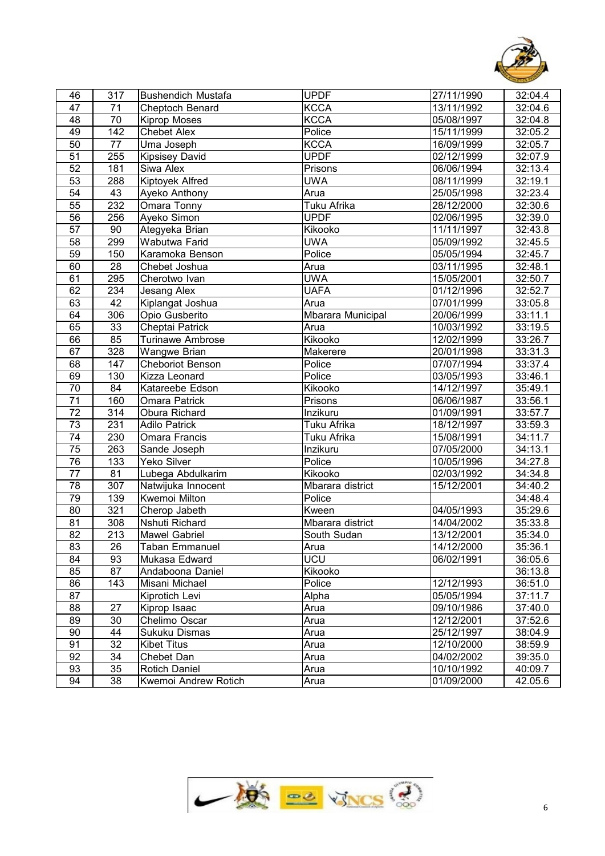

| 46              | 317             | <b>Bushendich Mustafa</b> | <b>UPDF</b>       | 27/11/1990 | 32:04.4 |
|-----------------|-----------------|---------------------------|-------------------|------------|---------|
| $\overline{47}$ | 71              | Cheptoch Benard           | <b>KCCA</b>       | 13/11/1992 | 32:04.6 |
| 48              | 70              | <b>Kiprop Moses</b>       | <b>KCCA</b>       | 05/08/1997 | 32:04.8 |
| 49              | 142             | <b>Chebet Alex</b>        | Police            | 15/11/1999 | 32:05.2 |
| 50              | 77              | Uma Joseph                | <b>KCCA</b>       | 16/09/1999 | 32:05.7 |
| $\overline{51}$ | 255             | <b>Kipsisey David</b>     | <b>UPDF</b>       | 02/12/1999 | 32:07.9 |
| 52              | 181             | Siwa Alex                 | Prisons           | 06/06/1994 | 32:13.4 |
| 53              | 288             | Kiptoyek Alfred           | <b>UWA</b>        | 08/11/1999 | 32:19.1 |
| $\overline{54}$ | 43              | Ayeko Anthony             | Arua              | 25/05/1998 | 32:23.4 |
| 55              | 232             | Omara Tonny               | Tuku Afrika       | 28/12/2000 | 32:30.6 |
| 56              | 256             | Ayeko Simon               | <b>UPDF</b>       | 02/06/1995 | 32:39.0 |
| 57              | 90              | Ategyeka Brian            | Kikooko           | 11/11/1997 | 32:43.8 |
| 58              | 299             | Wabutwa Farid             | <b>UWA</b>        | 05/09/1992 | 32:45.5 |
| 59              | 150             | Karamoka Benson           | Police            | 05/05/1994 | 32:45.7 |
| 60              | 28              | Chebet Joshua             | Arua              | 03/11/1995 | 32:48.1 |
| 61              | 295             | Cherotwo Ivan             | <b>UWA</b>        | 15/05/2001 | 32:50.7 |
| 62              | 234             | Jesang Alex               | <b>UAFA</b>       | 01/12/1996 | 32:52.7 |
| 63              | $\overline{42}$ | Kiplangat Joshua          | Arua              | 07/01/1999 | 33:05.8 |
| 64              | 306             | Opio Gusberito            | Mbarara Municipal | 20/06/1999 | 33:11.1 |
| 65              | 33              | Cheptai Patrick           | Arua              | 10/03/1992 | 33:19.5 |
| 66              | 85              | <b>Turinawe Ambrose</b>   | Kikooko           | 12/02/1999 | 33:26.7 |
| 67              | 328             | <b>Wangwe Brian</b>       | Makerere          | 20/01/1998 | 33:31.3 |
| 68              | 147             | Cheboriot Benson          | Police            | 07/07/1994 | 33:37.4 |
| 69              | 130             | <b>Kizza Leonard</b>      | Police            | 03/05/1993 | 33:46.1 |
| 70              | 84              | Katareebe Edson           | Kikooko           | 14/12/1997 | 35:49.1 |
| 71              | 160             | <b>Omara Patrick</b>      | Prisons           | 06/06/1987 | 33:56.1 |
| 72              | 314             | Obura Richard             | Inzikuru          | 01/09/1991 | 33:57.7 |
| 73              | 231             | <b>Adilo Patrick</b>      | Tuku Afrika       | 18/12/1997 | 33:59.3 |
| $\overline{74}$ | 230             | Omara Francis             | Tuku Afrika       | 15/08/1991 | 34:11.7 |
| 75              | 263             | Sande Joseph              | Inzikuru          | 07/05/2000 | 34:13.1 |
| $\overline{76}$ | 133             | Yeko Silver               | Police            | 10/05/1996 | 34:27.8 |
| 77              | $\overline{81}$ | Lubega Abdulkarim         | Kikooko           | 02/03/1992 | 34:34.8 |
| 78              | 307             | Natwijuka Innocent        | Mbarara district  | 15/12/2001 | 34:40.2 |
| 79              | 139             | <b>Kwemoi Milton</b>      | Police            |            | 34:48.4 |
| 80              | 321             | Cherop Jabeth             | Kween             | 04/05/1993 | 35:29.6 |
| 81              | 308             | Nshuti Richard            | Mbarara district  | 14/04/2002 | 35:33.8 |
| 82              | 213             | <b>Mawel Gabriel</b>      | South Sudan       | 13/12/2001 | 35:34.0 |
| 83              | 26              | Taban Emmanuel            | Arua              | 14/12/2000 | 35:36.1 |
| 84              | 93              | Mukasa Edward             | <b>UCU</b>        | 06/02/1991 | 36:05.6 |
| 85              | 87              | Andaboona Daniel          | Kikooko           |            | 36:13.8 |
| 86              | 143             | Misani Michael            | Police            | 12/12/1993 | 36:51.0 |
| 87              |                 | Kiprotich Levi            | Alpha             | 05/05/1994 | 37:11.7 |
| 88              | 27              | Kiprop Isaac              | Arua              | 09/10/1986 | 37:40.0 |
| 89              | 30              | Chelimo Oscar             | Arua              | 12/12/2001 | 37:52.6 |
| 90              | 44              | Sukuku Dismas             | Arua              | 25/12/1997 | 38:04.9 |
| 91              | 32              | <b>Kibet Titus</b>        | Arua              | 12/10/2000 | 38:59.9 |
| 92              | 34              | Chebet Dan                | Arua              | 04/02/2002 | 39:35.0 |
| 93              | 35              | <b>Rotich Daniel</b>      | Arua              | 10/10/1992 | 40:09.7 |
| 94              | 38              | Kwemoi Andrew Rotich      | Arua              | 01/09/2000 | 42.05.6 |

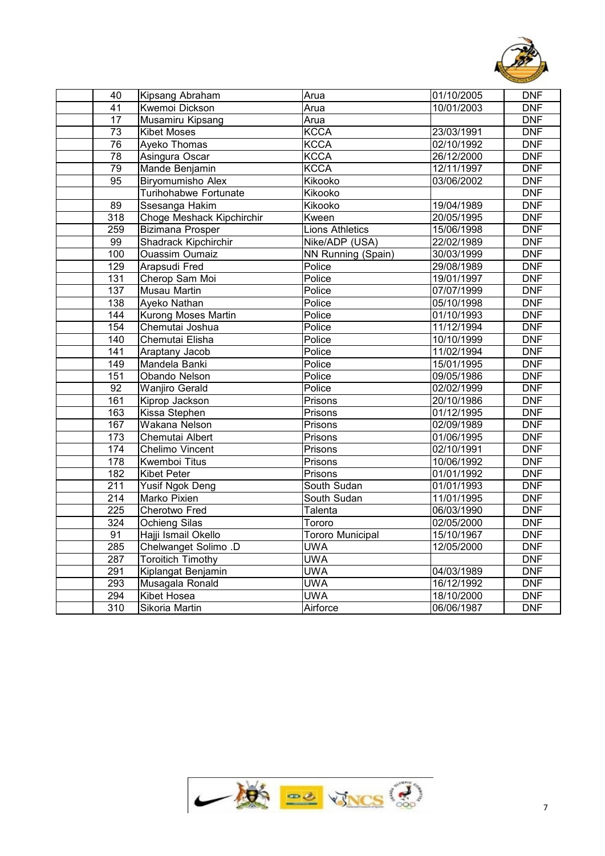

| 40              | Kipsang Abraham           | Arua                    | 01/10/2005 | <b>DNF</b>       |
|-----------------|---------------------------|-------------------------|------------|------------------|
| $\overline{41}$ | Kwemoi Dickson            | Arua                    | 10/01/2003 | <b>DNF</b>       |
| $\overline{17}$ | Musamiru Kipsang          | Arua                    |            | <b>DNF</b>       |
| $\overline{73}$ | <b>Kibet Moses</b>        | <b>KCCA</b>             | 23/03/1991 | DNF              |
| 76              | <b>Ayeko Thomas</b>       | <b>KCCA</b>             | 02/10/1992 | <b>DNF</b>       |
| 78              | Asingura Oscar            | <b>KCCA</b>             | 26/12/2000 | <b>DNF</b>       |
| 79              | Mande Benjamin            | <b>KCCA</b>             | 12/11/1997 | <b>DNF</b>       |
| $\overline{95}$ | <b>Biryomumisho Alex</b>  | Kikooko                 | 03/06/2002 | <b>DNF</b>       |
|                 | Turihohabwe Fortunate     | Kikooko                 |            | <b>DNF</b>       |
| 89              | Ssesanga Hakim            | Kikooko                 | 19/04/1989 | <b>DNF</b>       |
| 318             | Choge Meshack Kipchirchir | Kween                   | 20/05/1995 | <b>DNF</b>       |
| 259             | <b>Bizimana Prosper</b>   | <b>Lions Athletics</b>  | 15/06/1998 | <b>DNF</b>       |
| 99              | Shadrack Kipchirchir      | Nike/ADP (USA)          | 22/02/1989 | <b>DNF</b>       |
| 100             | <b>Ouassim Oumaiz</b>     | NN Running (Spain)      | 30/03/1999 | <b>DNF</b>       |
| 129             | <b>Arapsudi Fred</b>      | Police                  | 29/08/1989 | <b>DNF</b>       |
| 131             | Cherop Sam Moi            | Police                  | 19/01/1997 | <b>DNF</b>       |
| 137             | <b>Musau Martin</b>       | Police                  | 07/07/1999 | <b>DNF</b>       |
| 138             | Ayeko Nathan              | Police                  | 05/10/1998 | <b>DNF</b>       |
| 144             | Kurong Moses Martin       | Police                  | 01/10/1993 | <b>DNF</b>       |
| 154             | Chemutai Joshua           | Police                  | 11/12/1994 | <b>DNF</b>       |
| 140             | Chemutai Elisha           | Police                  | 10/10/1999 | <b>DNF</b>       |
| 141             | Araptany Jacob            | Police                  | 11/02/1994 | <b>DNF</b>       |
| 149             | Mandela Banki             | Police                  | 15/01/1995 | <b>DNF</b>       |
| 151             | <b>Obando Nelson</b>      | Police                  | 09/05/1986 | <b>DNF</b>       |
| 92              | <b>Wanjiro Gerald</b>     | Police                  | 02/02/1999 | <b>DNF</b>       |
| 161             | Kiprop Jackson            | Prisons                 | 20/10/1986 | <b>DNF</b>       |
| 163             | Kissa Stephen             | Prisons                 | 01/12/1995 | <b>DNF</b>       |
| 167             | Wakana Nelson             | Prisons                 | 02/09/1989 | $\overline{DNF}$ |
| 173             | Chemutai Albert           | Prisons                 | 01/06/1995 | <b>DNF</b>       |
| $\frac{1}{174}$ | Chelimo Vincent           | Prisons                 | 02/10/1991 | <b>DNF</b>       |
| 178             | <b>Kwemboi Titus</b>      | Prisons                 | 10/06/1992 | <b>DNF</b>       |
| 182             | <b>Kibet Peter</b>        | Prisons                 | 01/01/1992 | <b>DNF</b>       |
| 211             | <b>Yusif Ngok Deng</b>    | South Sudan             | 01/01/1993 | <b>DNF</b>       |
| 214             | Marko Pixien              | South Sudan             | 11/01/1995 | DNF              |
| 225             | Cherotwo Fred             | Talenta                 | 06/03/1990 | <b>DNF</b>       |
| 324             | <b>Ochieng Silas</b>      | Tororo                  | 02/05/2000 | <b>DNF</b>       |
| $\overline{91}$ | Hajji Ismail Okello       | <b>Tororo Municipal</b> | 15/10/1967 | <b>DNF</b>       |
| 285             | Chelwanget Solimo .D      | <b>UWA</b>              | 12/05/2000 | DNF              |
| 287             | <b>Toroitich Timothy</b>  | <b>UWA</b>              |            | <b>DNF</b>       |
| 291             | Kiplangat Benjamin        | <b>UWA</b>              | 04/03/1989 | <b>DNF</b>       |
| 293             | Musagala Ronald           | <b>UWA</b>              | 16/12/1992 | <b>DNF</b>       |
| 294             | Kibet Hosea               | <b>UWA</b>              | 18/10/2000 | <b>DNF</b>       |
| 310             | Sikoria Martin            | Airforce                | 06/06/1987 | <b>DNF</b>       |
|                 |                           |                         |            |                  |

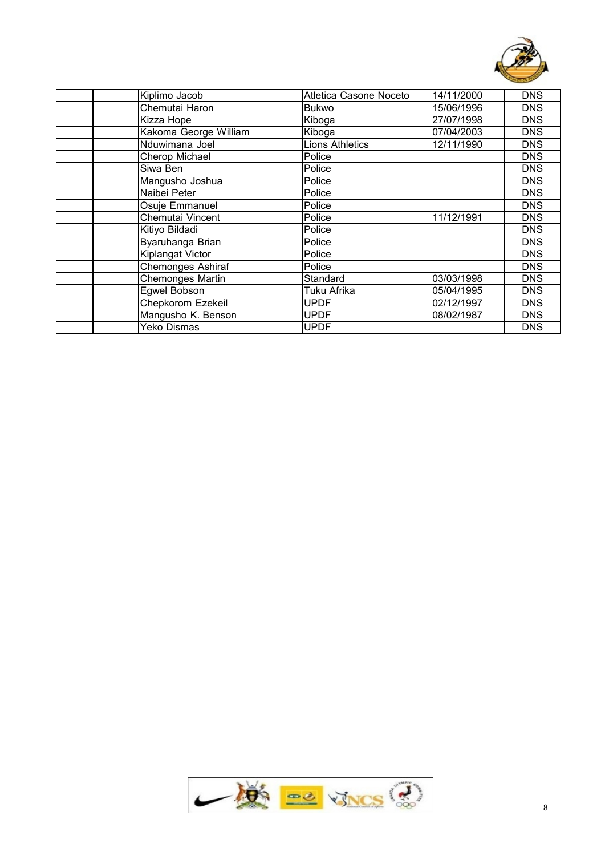

| Kiplimo Jacob            | Atletica Casone Noceto | 14/11/2000 | <b>DNS</b> |
|--------------------------|------------------------|------------|------------|
| Chemutai Haron           | <b>Bukwo</b>           | 15/06/1996 | <b>DNS</b> |
| Kizza Hope               | Kiboga                 | 27/07/1998 | <b>DNS</b> |
| Kakoma George William    | Kiboga                 | 07/04/2003 | <b>DNS</b> |
| Nduwimana Joel           | <b>Lions Athletics</b> | 12/11/1990 | <b>DNS</b> |
| Cherop Michael           | Police                 |            | <b>DNS</b> |
| Siwa Ben                 | Police                 |            | <b>DNS</b> |
| Mangusho Joshua          | Police                 |            | <b>DNS</b> |
| Naibei Peter             | Police                 |            | <b>DNS</b> |
| Osuje Emmanuel           | Police                 |            | <b>DNS</b> |
| Chemutai Vincent         | Police                 | 11/12/1991 | <b>DNS</b> |
| Kitiyo Bildadi           | Police                 |            | <b>DNS</b> |
| Byaruhanga Brian         | Police                 |            | <b>DNS</b> |
| Kiplangat Victor         | Police                 |            | <b>DNS</b> |
| <b>Chemonges Ashiraf</b> | Police                 |            | <b>DNS</b> |
| <b>Chemonges Martin</b>  | Standard               | 03/03/1998 | <b>DNS</b> |
| Egwel Bobson             | Tuku Afrika            | 05/04/1995 | <b>DNS</b> |
| Chepkorom Ezekeil        | <b>UPDF</b>            | 02/12/1997 | <b>DNS</b> |
| Mangusho K. Benson       | <b>UPDF</b>            | 08/02/1987 | <b>DNS</b> |
| Yeko Dismas              | <b>UPDF</b>            |            | <b>DNS</b> |

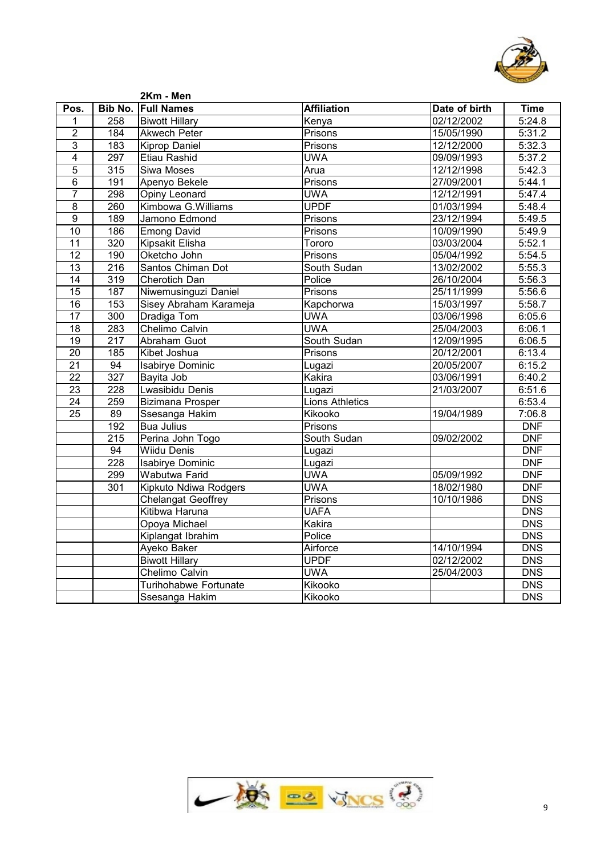

|                         |                  | 2Km - Men                 |                        |               |                  |
|-------------------------|------------------|---------------------------|------------------------|---------------|------------------|
| Pos.                    |                  | <b>Bib No. Full Names</b> | <b>Affiliation</b>     | Date of birth | <b>Time</b>      |
| 1                       | 258              | <b>Biwott Hillary</b>     | Kenya                  | 02/12/2002    | 5:24.8           |
| $\overline{2}$          | 184              | <b>Akwech Peter</b>       | Prisons                | 15/05/1990    | 5:31.2           |
| $\overline{3}$          | 183              | <b>Kiprop Daniel</b>      | Prisons                | 12/12/2000    | 5:32.3           |
| $\overline{\mathbf{4}}$ | 297              | Etiau Rashid              | <b>UWA</b>             | 09/09/1993    | 5:37.2           |
| $\overline{5}$          | $\overline{315}$ | Siwa Moses                | Arua                   | 12/12/1998    | 5:42.3           |
| $\overline{6}$          | 191              | Apenyo Bekele             | Prisons                | 27/09/2001    | 5:44.1           |
| $\overline{7}$          | 298              | Opiny Leonard             | <b>UWA</b>             | 12/12/1991    | 5:47.4           |
| $\overline{8}$          | 260              | Kimbowa G.Williams        | <b>UPDF</b>            | 01/03/1994    | 5:48.4           |
| $\overline{9}$          | 189              | Jamono Edmond             | Prisons                | 23/12/1994    | 5:49.5           |
| 10                      | 186              | <b>Emong David</b>        | Prisons                | 10/09/1990    | 5:49.9           |
| $\overline{11}$         | 320              | Kipsakit Elisha           | Tororo                 | 03/03/2004    | 5:52.1           |
| 12                      | 190              | Oketcho John              | Prisons                | 05/04/1992    | 5:54.5           |
| 13                      | 216              | Santos Chiman Dot         | South Sudan            | 13/02/2002    | 5:55.3           |
| 14                      | $\overline{319}$ | <b>Cherotich Dan</b>      | Police                 | 26/10/2004    | 5:56.3           |
| $\overline{15}$         | 187              | Niwemusinguzi Daniel      | Prisons                | 25/11/1999    | 5:56.6           |
| $\overline{16}$         | 153              | Sisey Abraham Karameja    | Kapchorwa              | 15/03/1997    | 5:58.7           |
| 17                      | $\overline{300}$ | Dradiga Tom               | <b>UWA</b>             | 03/06/1998    | 6:05.6           |
| $\overline{18}$         | 283              | Chelimo Calvin            | <b>UWA</b>             | 25/04/2003    | 6:06.1           |
| $\overline{19}$         | $\overline{217}$ | <b>Abraham Guot</b>       | South Sudan            | 12/09/1995    | 6:06.5           |
| $\overline{20}$         | 185              | Kibet Joshua              | Prisons                | 20/12/2001    | 6:13.4           |
| $\overline{21}$         | 94               | <b>Isabirye Dominic</b>   | Lugazi                 | 20/05/2007    | 6:15.2           |
| $\overline{22}$         | 327              | Bayita Job                | Kakira                 | 03/06/1991    | 6:40.2           |
| $\overline{23}$         | $\overline{228}$ | Lwasibidu Denis           | Lugazi                 | 21/03/2007    | 6:51.6           |
| $\overline{24}$         | 259              | <b>Bizimana Prosper</b>   | <b>Lions Athletics</b> |               | 6:53.4           |
| 25                      | 89               | Ssesanga Hakim            | Kikooko                | 19/04/1989    | 7:06.8           |
|                         | 192              | <b>Bua Julius</b>         | Prisons                |               | <b>DNF</b>       |
|                         | 215              | Perina John Togo          | South Sudan            | 09/02/2002    | <b>DNF</b>       |
|                         | 94               | <b>Wiidu Denis</b>        | Lugazi                 |               | <b>DNF</b>       |
|                         | 228              | <b>Isabirye Dominic</b>   | Lugazi                 |               | <b>DNF</b>       |
|                         | 299              | Wabutwa Farid             | <b>UWA</b>             | 05/09/1992    | <b>DNF</b>       |
|                         | 301              | Kipkuto Ndiwa Rodgers     | <b>UWA</b>             | 18/02/1980    | <b>DNF</b>       |
|                         |                  | <b>Chelangat Geoffrey</b> | Prisons                | 10/10/1986    | <b>DNS</b>       |
|                         |                  | Kitibwa Haruna            | <b>UAFA</b>            |               | $\overline{DNS}$ |
|                         |                  | Opoya Michael             | Kakira                 |               | $\overline{DNS}$ |
|                         |                  | Kiplangat Ibrahim         | Police                 |               | <b>DNS</b>       |
|                         |                  | Ayeko Baker               | Airforce               | 14/10/1994    | <b>DNS</b>       |
|                         |                  | <b>Biwott Hillary</b>     | <b>UPDF</b>            | 02/12/2002    | <b>DNS</b>       |
|                         |                  | Chelimo Calvin            | <b>UWA</b>             | 25/04/2003    | $\overline{DNS}$ |
|                         |                  | Turihohabwe Fortunate     | Kikooko                |               | <b>DNS</b>       |
|                         |                  | Ssesanga Hakim            | Kikooko                |               | $\overline{DNS}$ |
|                         |                  |                           |                        |               |                  |

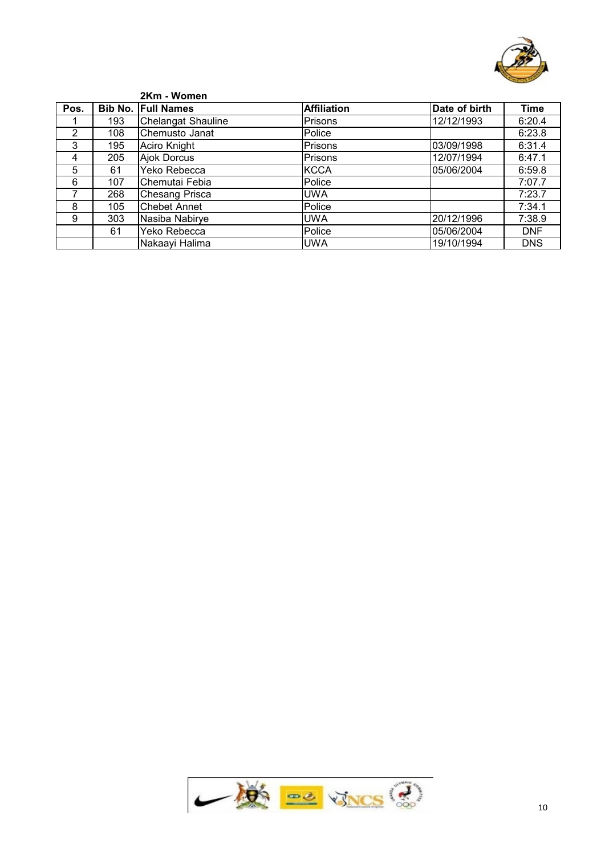

|      |     | 2Km - Women               |                    |               |            |
|------|-----|---------------------------|--------------------|---------------|------------|
| Pos. |     | <b>Bib No. Full Names</b> | <b>Affiliation</b> | Date of birth | Time       |
|      | 193 | Chelangat Shauline        | Prisons            | 12/12/1993    | 6:20.4     |
| 2    | 108 | Chemusto Janat            | Police             |               | 6:23.8     |
| 3    | 195 | Aciro Knight              | Prisons            | 03/09/1998    | 6:31.4     |
| 4    | 205 | Ajok Dorcus               | Prisons            | 12/07/1994    | 6:47.1     |
| 5    | 61  | Yeko Rebecca              | <b>KCCA</b>        | 05/06/2004    | 6:59.8     |
| 6    | 107 | Chemutai Febia            | Police             |               | 7:07.7     |
|      | 268 | <b>Chesang Prisca</b>     | <b>UWA</b>         |               | 7:23.7     |
| 8    | 105 | <b>Chebet Annet</b>       | Police             |               | 7:34.1     |
| 9    | 303 | Nasiba Nabirye            | <b>UWA</b>         | 20/12/1996    | 7:38.9     |
|      | 61  | Yeko Rebecca              | Police             | 05/06/2004    | <b>DNF</b> |
|      |     | Nakaayi Halima            | <b>UWA</b>         | 19/10/1994    | <b>DNS</b> |